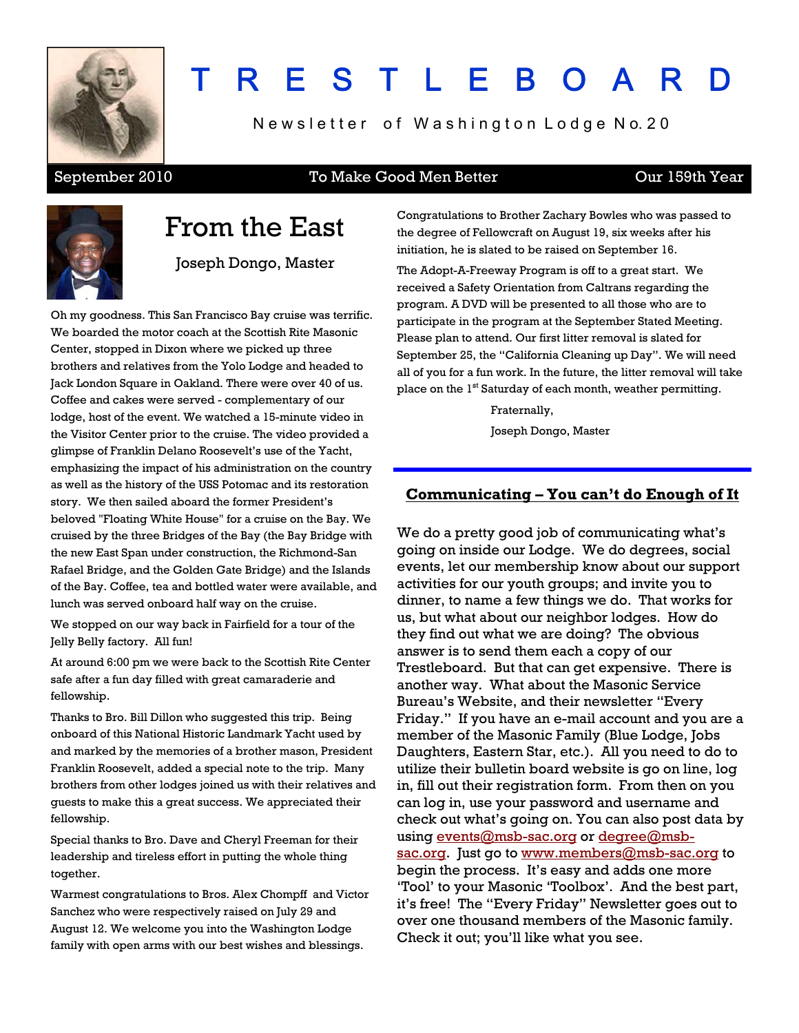

# T R E S T L E B O A R D

Newsletter of Washington Lodge No. 20

#### September 2010 To Make Good Men Better Cur 159th Year



### From the East

Joseph Dongo, Master

Oh my goodness. This San Francisco Bay cruise was terrific. We boarded the motor coach at the Scottish Rite Masonic Center, stopped in Dixon where we picked up three brothers and relatives from the Yolo Lodge and headed to Jack London Square in Oakland. There were over 40 of us. Coffee and cakes were served - complementary of our lodge, host of the event. We watched a 15-minute video in the Visitor Center prior to the cruise. The video provided a glimpse of Franklin Delano Roosevelt's use of the Yacht, emphasizing the impact of his administration on the country as well as the history of the USS Potomac and its restoration story. We then sailed aboard the former President's beloved "Floating White House" for a cruise on the Bay. We cruised by the three Bridges of the Bay (the Bay Bridge with the new East Span under construction, the Richmond-San Rafael Bridge, and the Golden Gate Bridge) and the Islands of the Bay. Coffee, tea and bottled water were available, and lunch was served onboard half way on the cruise.

We stopped on our way back in Fairfield for a tour of the Jelly Belly factory. All fun!

At around 6:00 pm we were back to the Scottish Rite Center safe after a fun day filled with great camaraderie and fellowship.

Thanks to Bro. Bill Dillon who suggested this trip. Being onboard of this National Historic Landmark Yacht used by and marked by the memories of a brother mason, President Franklin Roosevelt, added a special note to the trip. Many brothers from other lodges joined us with their relatives and guests to make this a great success. We appreciated their fellowship.

Special thanks to Bro. Dave and Cheryl Freeman for their leadership and tireless effort in putting the whole thing together.

Warmest congratulations to Bros. Alex Chompff and Victor Sanchez who were respectively raised on July 29 and August 12. We welcome you into the Washington Lodge family with open arms with our best wishes and blessings.

Congratulations to Brother Zachary Bowles who was passed to the degree of Fellowcraft on August 19, six weeks after his initiation, he is slated to be raised on September 16.

The Adopt-A-Freeway Program is off to a great start. We received a Safety Orientation from Caltrans regarding the program. A DVD will be presented to all those who are to participate in the program at the September Stated Meeting. Please plan to attend. Our first litter removal is slated for September 25, the "California Cleaning up Day". We will need all of you for a fun work. In the future, the litter removal will take place on the 1<sup>st</sup> Saturday of each month, weather permitting.

Fraternally,

Joseph Dongo, Master

#### **Communicating – You can't do Enough of It**

We do a pretty good job of communicating what's going on inside our Lodge. We do degrees, social events, let our membership know about our support activities for our youth groups; and invite you to dinner, to name a few things we do. That works for us, but what about our neighbor lodges. How do they find out what we are doing? The obvious answer is to send them each a copy of our Trestleboard. But that can get expensive. There is another way. What about the Masonic Service Bureau's Website, and their newsletter "Every Friday." If you have an e-mail account and you are a member of the Masonic Family (Blue Lodge, Jobs Daughters, Eastern Star, etc.). All you need to do to utilize their bulletin board website is go on line, log in, fill out their registration form. From then on you can log in, use your password and username and check out what's going on. You can also post data by using [events@msb-sac.org](mailto:events@msb-sac.org) o[r degree@msb](mailto:degree@msb-sac.org)[sac.org](mailto:degree@msb-sac.org). Just go t[o www.members@msb-sac.org](http://www.members@msb-sac.org/) to begin the process. It's easy and adds one more 'Tool' to your Masonic 'Toolbox'. And the best part, it's free! The "Every Friday" Newsletter goes out to over one thousand members of the Masonic family. Check it out; you'll like what you see.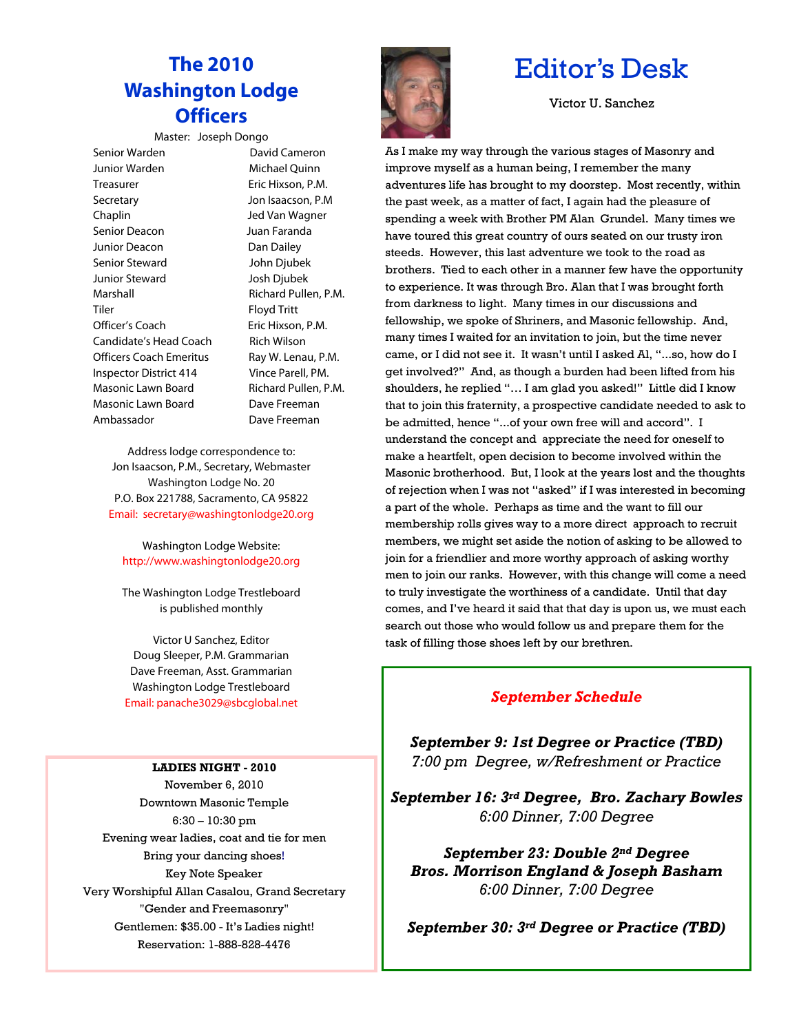### **The 2010 Washington Lodge Officers**

#### Master: Joseph Dongo

Senior Warden **David Cameron**  Junior Warden Michael Quinn Treasurer **Eric Hixson, P.M.**  Secretary Jon Isaacson, P.M Chaplin Jed Van Wagner Senior Deacon Juan Faranda Junior Deacon Dan Dailey Senior Steward John Djubek Junior Steward Josh Djubek Marshall **Marshall** Richard Pullen, P.M. Tiler Floyd Tritt Officer's Coach Eric Hixson, P.M. Candidate's Head Coach Rich Wilson Officers Coach Emeritus Ray W. Lenau, P.M. Inspector District 414 Vince Parell, PM. Masonic Lawn Board Richard Pullen, P.M. Masonic Lawn Board Dave Freeman Ambassador Dave Freeman

Address lodge correspondence to: Jon Isaacson, P.M., Secretary, Webmaster Washington Lodge No. 20 P.O. Box 221788, Sacramento, CA 95822 Email: secretary@washingtonlodge20.org

Washington Lodge Website: http://www.washingtonlodge20.org

The Washington Lodge Trestleboard is published monthly

Victor U Sanchez, Editor Doug Sleeper, P.M. Grammarian Dave Freeman, Asst. Grammarian Washington Lodge Trestleboard Email: panache3029@sbcglobal.net

#### **LADIES NIGHT - 2010**

November 6, 2010 Downtown Masonic Temple 6:30 – 10:30 pm Evening wear ladies, coat and tie for men Bring your dancing shoes! Key Note Speaker Very Worshipful Allan Casalou, Grand Secretary "Gender and Freemasonry" Gentlemen: \$35.00 - It's Ladies night! Reservation: 1-888-828-4476



### Editor's Desk

Victor U. Sanchez

As I make my way through the various stages of Masonry and improve myself as a human being, I remember the many adventures life has brought to my doorstep. Most recently, within the past week, as a matter of fact, I again had the pleasure of spending a week with Brother PM Alan Grundel. Many times we have toured this great country of ours seated on our trusty iron steeds. However, this last adventure we took to the road as brothers. Tied to each other in a manner few have the opportunity to experience. It was through Bro. Alan that I was brought forth from darkness to light. Many times in our discussions and fellowship, we spoke of Shriners, and Masonic fellowship. And, many times I waited for an invitation to join, but the time never came, or I did not see it. It wasn't until I asked Al, "...so, how do I get involved?" And, as though a burden had been lifted from his shoulders, he replied "… I am glad you asked!" Little did I know that to join this fraternity, a prospective candidate needed to ask to be admitted, hence "...of your own free will and accord". I understand the concept and appreciate the need for oneself to make a heartfelt, open decision to become involved within the Masonic brotherhood. But, I look at the years lost and the thoughts of rejection when I was not "asked" if I was interested in becoming a part of the whole. Perhaps as time and the want to fill our membership rolls gives way to a more direct approach to recruit members, we might set aside the notion of asking to be allowed to join for a friendlier and more worthy approach of asking worthy men to join our ranks. However, with this change will come a need to truly investigate the worthiness of a candidate. Until that day comes, and I've heard it said that that day is upon us, we must each search out those who would follow us and prepare them for the task of filling those shoes left by our brethren.

#### *September Schedule*

*September 9: 1st Degree or Practice (TBD) 7:00 pm Degree, w/Refreshment or Practice*

*September 16: 3rd Degree, Bro. Zachary Bowles 6:00 Dinner, 7:00 Degree*

*September 23: Double 2nd Degree Bros. Morrison England & Joseph Basham 6:00 Dinner, 7:00 Degree*

*September 30: 3rd Degree or Practice (TBD)*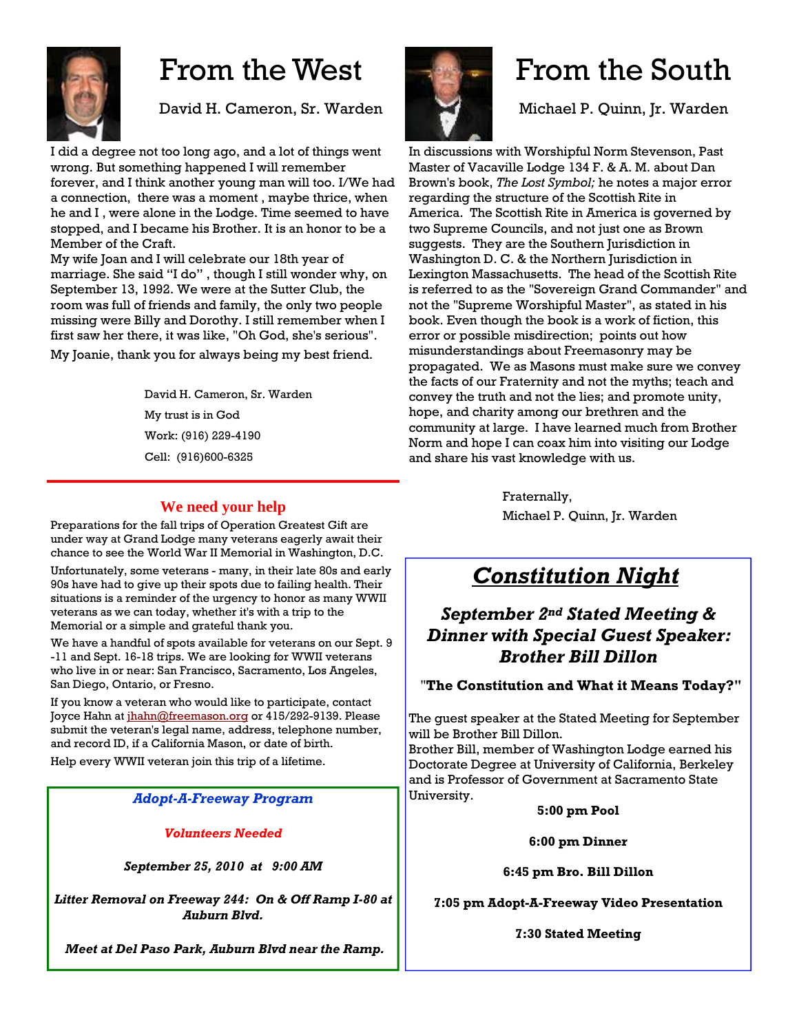

## From the West

David H. Cameron, Sr. Warden

I did a degree not too long ago, and a lot of things went wrong. But something happened I will remember forever, and I think another young man will too. I/We had a connection, there was a moment , maybe thrice, when he and I , were alone in the Lodge. Time seemed to have stopped, and I became his Brother. It is an honor to be a Member of the Craft.

My wife Joan and I will celebrate our 18th year of marriage. She said "I do" , though I still wonder why, on September 13, 1992. We were at the Sutter Club, the room was full of friends and family, the only two people missing were Billy and Dorothy. I still remember when I first saw her there, it was like, "Oh God, she's serious". My Joanie, thank you for always being my best friend.

> David H. Cameron, Sr. Warden My trust is in God Work: (916) 229-4190 Cell: (916)600-6325

#### **We need your help**

Preparations for the fall trips of Operation Greatest Gift are under way at Grand Lodge many veterans eagerly await their chance to see the World War II Memorial in Washington, D.C.

Unfortunately, some veterans - many, in their late 80s and early 90s have had to give up their spots due to failing health. Their situations is a reminder of the urgency to honor as many WWII veterans as we can today, whether it's with a trip to the Memorial or a simple and grateful thank you.

We have a handful of spots available for veterans on our Sept. 9 -11 and Sept. 16-18 trips. We are looking for WWII veterans who live in or near: San Francisco, Sacramento, Los Angeles, San Diego, Ontario, or Fresno.

If you know a veteran who would like to participate, contact Joyce Hahn at [jhahn@freemason.org](mailto:jhahn@freemason.org) or 415/292-9139. Please submit the veteran's legal name, address, telephone number, and record ID, if a California Mason, or date of birth.

Help every WWII veteran join this trip of a lifetime.

#### *Adopt-A-Freeway Program*

*Volunteers Needed*

*September 25, 2010 at 9:00 AM* 

*Litter Removal on Freeway 244: On & Off Ramp I-80 at Auburn Blvd.*

 *Meet at Del Paso Park, Auburn Blvd near the Ramp.* 



## From the South

Michael P. Quinn, Jr. Warden

In discussions with Worshipful Norm Stevenson, Past Master of Vacaville Lodge 134 F. & A. M. about Dan Brown's book, *The Lost Symbol;* he notes a major error regarding the structure of the Scottish Rite in America. The Scottish Rite in America is governed by two Supreme Councils, and not just one as Brown suggests. They are the Southern Jurisdiction in Washington D. C. & the Northern Jurisdiction in Lexington Massachusetts. The head of the Scottish Rite is referred to as the "Sovereign Grand Commander" and not the "Supreme Worshipful Master", as stated in his book. Even though the book is a work of fiction, this error or possible misdirection; points out how misunderstandings about Freemasonry may be propagated. We as Masons must make sure we convey the facts of our Fraternity and not the myths; teach and convey the truth and not the lies; and promote unity, hope, and charity among our brethren and the community at large. I have learned much from Brother Norm and hope I can coax him into visiting our Lodge and share his vast knowledge with us.

> Fraternally, Michael P. Quinn, Jr. Warden

### *Constitution Night*

### *September 2nd Stated Meeting & Dinner with Special Guest Speaker: Brother Bill Dillon*

#### "**The Constitution and What it Means Today?"**

The guest speaker at the Stated Meeting for September will be Brother Bill Dillon.

Brother Bill, member of Washington Lodge earned his Doctorate Degree at University of California, Berkeley and is Professor of Government at Sacramento State University.

**5:00 pm Pool** 

**6:00 pm Dinner** 

**6:45 pm Bro. Bill Dillon** 

**7:05 pm Adopt-A-Freeway Video Presentation** 

**7:30 Stated Meeting**